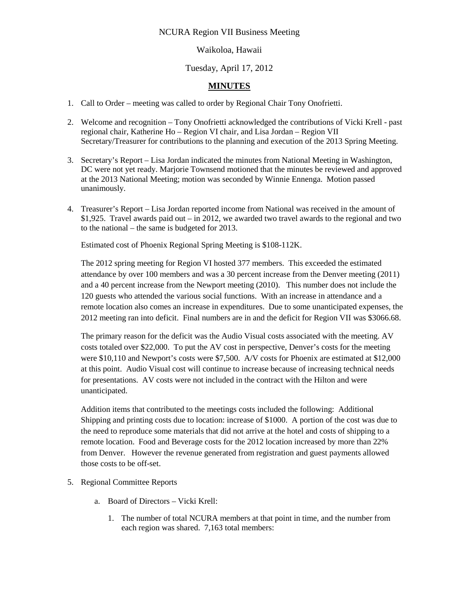## NCURA Region VII Business Meeting

## Waikoloa, Hawaii

## Tuesday, April 17, 2012

## **MINUTES**

- 1. Call to Order meeting was called to order by Regional Chair Tony Onofrietti.
- 2. Welcome and recognition Tony Onofrietti acknowledged the contributions of Vicki Krell past regional chair, Katherine Ho – Region VI chair, and Lisa Jordan – Region VII Secretary/Treasurer for contributions to the planning and execution of the 2013 Spring Meeting.
- 3. Secretary's Report Lisa Jordan indicated the minutes from National Meeting in Washington, DC were not yet ready. Marjorie Townsend motioned that the minutes be reviewed and approved at the 2013 National Meeting; motion was seconded by Winnie Ennenga. Motion passed unanimously.
- 4. Treasurer's Report Lisa Jordan reported income from National was received in the amount of \$1,925. Travel awards paid out – in 2012, we awarded two travel awards to the regional and two to the national – the same is budgeted for 2013.

Estimated cost of Phoenix Regional Spring Meeting is \$108-112K.

The 2012 spring meeting for Region VI hosted 377 members. This exceeded the estimated attendance by over 100 members and was a 30 percent increase from the Denver meeting (2011) and a 40 percent increase from the Newport meeting (2010). This number does not include the 120 guests who attended the various social functions. With an increase in attendance and a remote location also comes an increase in expenditures. Due to some unanticipated expenses, the 2012 meeting ran into deficit. Final numbers are in and the deficit for Region VII was \$3066.68.

The primary reason for the deficit was the Audio Visual costs associated with the meeting. AV costs totaled over \$22,000. To put the AV cost in perspective, Denver's costs for the meeting were \$10,110 and Newport's costs were \$7,500. A/V costs for Phoenix are estimated at \$12,000 at this point. Audio Visual cost will continue to increase because of increasing technical needs for presentations. AV costs were not included in the contract with the Hilton and were unanticipated.

Addition items that contributed to the meetings costs included the following: Additional Shipping and printing costs due to location: increase of \$1000. A portion of the cost was due to the need to reproduce some materials that did not arrive at the hotel and costs of shipping to a remote location. Food and Beverage costs for the 2012 location increased by more than 22% from Denver. However the revenue generated from registration and guest payments allowed those costs to be off-set.

- 5. Regional Committee Reports
	- a. Board of Directors Vicki Krell:
		- 1. The number of total NCURA members at that point in time, and the number from each region was shared. 7,163 total members: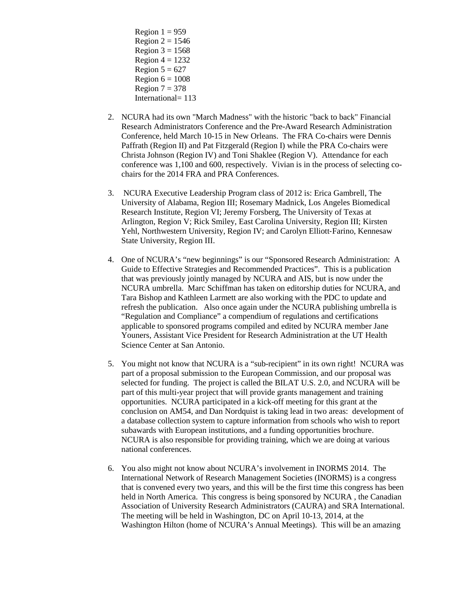- Region  $1 = 959$ Region  $2 = 1546$ Region  $3 = 1568$ Region  $4 = 1232$ Region  $5 = 627$ Region  $6 = 1008$ Region  $7 = 378$ International= 113
- 2. NCURA had its own "March Madness" with the historic "back to back" Financial Research Administrators Conference and the Pre-Award Research Administration Conference, held March 10-15 in New Orleans. The FRA Co-chairs were Dennis Paffrath (Region II) and Pat Fitzgerald (Region I) while the PRA Co-chairs were Christa Johnson (Region IV) and Toni Shaklee (Region V). Attendance for each conference was 1,100 and 600, respectively. Vivian is in the process of selecting cochairs for the 2014 FRA and PRA Conferences.
- 3. NCURA Executive Leadership Program class of 2012 is: Erica Gambrell, The University of Alabama, Region III; Rosemary Madnick, Los Angeles Biomedical Research Institute, Region VI; Jeremy Forsberg, The University of Texas at Arlington, Region V; Rick Smiley, East Carolina University, Region III; Kirsten Yehl, Northwestern University, Region IV; and Carolyn Elliott-Farino, Kennesaw State University, Region III.
- 4. One of NCURA's "new beginnings" is our "Sponsored Research Administration: A Guide to Effective Strategies and Recommended Practices". This is a publication that was previously jointly managed by NCURA and AIS, but is now under the NCURA umbrella. Marc Schiffman has taken on editorship duties for NCURA, and Tara Bishop and Kathleen Larmett are also working with the PDC to update and refresh the publication. Also once again under the NCURA publishing umbrella is "Regulation and Compliance" a compendium of regulations and certifications applicable to sponsored programs compiled and edited by NCURA member Jane Youners, Assistant Vice President for Research Administration at the UT Health Science Center at San Antonio.
- 5. You might not know that NCURA is a "sub-recipient" in its own right! NCURA was part of a proposal submission to the European Commission, and our proposal was selected for funding. The project is called the BILAT U.S. 2.0, and NCURA will be part of this multi-year project that will provide grants management and training opportunities. NCURA participated in a kick-off meeting for this grant at the conclusion on AM54, and Dan Nordquist is taking lead in two areas: development of a database collection system to capture information from schools who wish to report subawards with European institutions, and a funding opportunities brochure. NCURA is also responsible for providing training, which we are doing at various national conferences.
- 6. You also might not know about NCURA's involvement in INORMS 2014. The International Network of Research Management Societies (INORMS) is a congress that is convened every two years, and this will be the first time this congress has been held in North America. This congress is being sponsored by NCURA , the Canadian Association of University Research Administrators (CAURA) and SRA International. The meeting will be held in Washington, DC on April 10-13, 2014, at the Washington Hilton (home of NCURA's Annual Meetings). This will be an amazing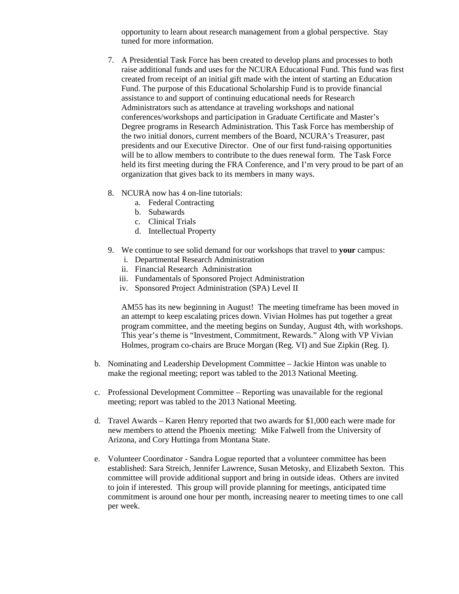opportunity to learn about research management from a global perspective. Stay tuned for more information.

- 7. A Presidential Task Force has been created to develop plans and processes to both raise additional funds and uses for the NCURA Educational Fund. This fund was first created from receipt of an initial gift made with the intent of starting an Education Fund. The purpose of this Educational Scholarship Fund is to provide financial assistance to and support of continuing educational needs for Research Administrators such as attendance at traveling workshops and national conferences/workshops and participation in Graduate Certificate and Master's Degree programs in Research Administration. This Task Force has membership of the two initial donors, current members of the Board, NCURA's Treasurer, past presidents and our Executive Director. One of our first fund‐raising opportunities will be to allow members to contribute to the dues renewal form. The Task Force held its first meeting during the FRA Conference, and I'm very proud to be part of an organization that gives back to its members in many ways.
- 8. NCURA now has 4 on-line tutorials:
	- a. Federal Contracting
	- b. Subawards
	- c. Clinical Trials
	- d. Intellectual Property
- 9. We continue to see solid demand for our workshops that travel to **your** campus:
	- i. Departmental Research Administration
	- ii. Financial Research Administration
	- iii. Fundamentals of Sponsored Project Administration
	- iv. Sponsored Project Administration (SPA) Level II

AM55 has its new beginning in August! The meeting timeframe has been moved in an attempt to keep escalating prices down. Vivian Holmes has put together a great program committee, and the meeting begins on Sunday, August 4th, with workshops. This year's theme is "Investment, Commitment, Rewards." Along with VP Vivian Holmes, program co-chairs are Bruce Morgan (Reg. VI) and Sue Zipkin (Reg. I).

- b. Nominating and Leadership Development Committee Jackie Hinton was unable to make the regional meeting; report was tabled to the 2013 National Meeting.
- c. Professional Development Committee Reporting was unavailable for the regional meeting; report was tabled to the 2013 National Meeting.
- d. Travel Awards Karen Henry reported that two awards for \$1,000 each were made for new members to attend the Phoenix meeting: Mike Falwell from the University of Arizona, and Cory Huttinga from Montana State.
- e. Volunteer Coordinator Sandra Logue reported that a volunteer committee has been established: Sara Streich, Jennifer Lawrence, Susan Metosky, and Elizabeth Sexton. This committee will provide additional support and bring in outside ideas. Others are invited to join if interested. This group will provide planning for meetings, anticipated time commitment is around one hour per month, increasing nearer to meeting times to one call per week.